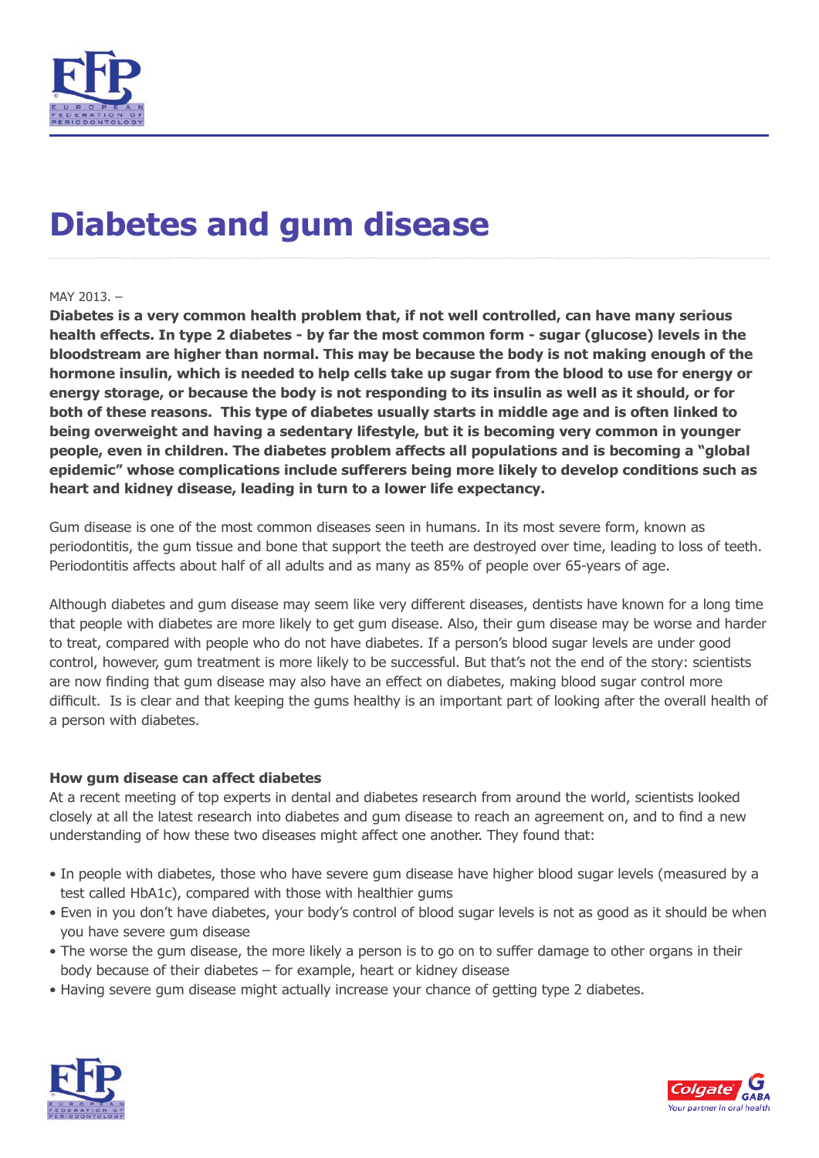

# **Diabetes and gum disease**

### MAY 2013. –

**Diabetes is a very common health problem that, if not well controlled, can have many serious health effects. In type 2 diabetes - by far the most common form - sugar (glucose) levels in the bloodstream are higher than normal. This may be because the body is not making enough of the hormone insulin, which is needed to help cells take up sugar from the blood to use for energy or energy storage, or because the body is not responding to its insulin as well as it should, or for both of these reasons. This type of diabetes usually starts in middle age and is often linked to being overweight and having a sedentary lifestyle, but it is becoming very common in younger people, even in children. The diabetes problem affects all populations and is becoming a "global epidemic" whose complications include sufferers being more likely to develop conditions such as heart and kidney disease, leading in turn to a lower life expectancy.**

Gum disease is one of the most common diseases seen in humans. In its most severe form, known as periodontitis, the gum tissue and bone that support the teeth are destroyed over time, leading to loss of teeth. Periodontitis affects about half of all adults and as many as 85% of people over 65-years of age.

Although diabetes and gum disease may seem like very different diseases, dentists have known for a long time that people with diabetes are more likely to get gum disease. Also, their gum disease may be worse and harder to treat, compared with people who do not have diabetes. If a person's blood sugar levels are under good control, however, gum treatment is more likely to be successful. But that's not the end of the story: scientists are now finding that gum disease may also have an effect on diabetes, making blood sugar control more difficult. Is is clear and that keeping the gums healthy is an important part of looking after the overall health of a person with diabetes.

#### **How gum disease can affect diabetes**

At a recent meeting of top experts in dental and diabetes research from around the world, scientists looked closely at all the latest research into diabetes and gum disease to reach an agreement on, and to find a new understanding of how these two diseases might affect one another. They found that:

- In people with diabetes, those who have severe gum disease have higher blood sugar levels (measured by a test called HbA1c), compared with those with healthier gums
- Even in you don't have diabetes, your body's control of blood sugar levels is not as good as it should be when you have severe gum disease
- The worse the gum disease, the more likely a person is to go on to suffer damage to other organs in their body because of their diabetes – for example, heart or kidney disease
- Having severe gum disease might actually increase your chance of getting type 2 diabetes.